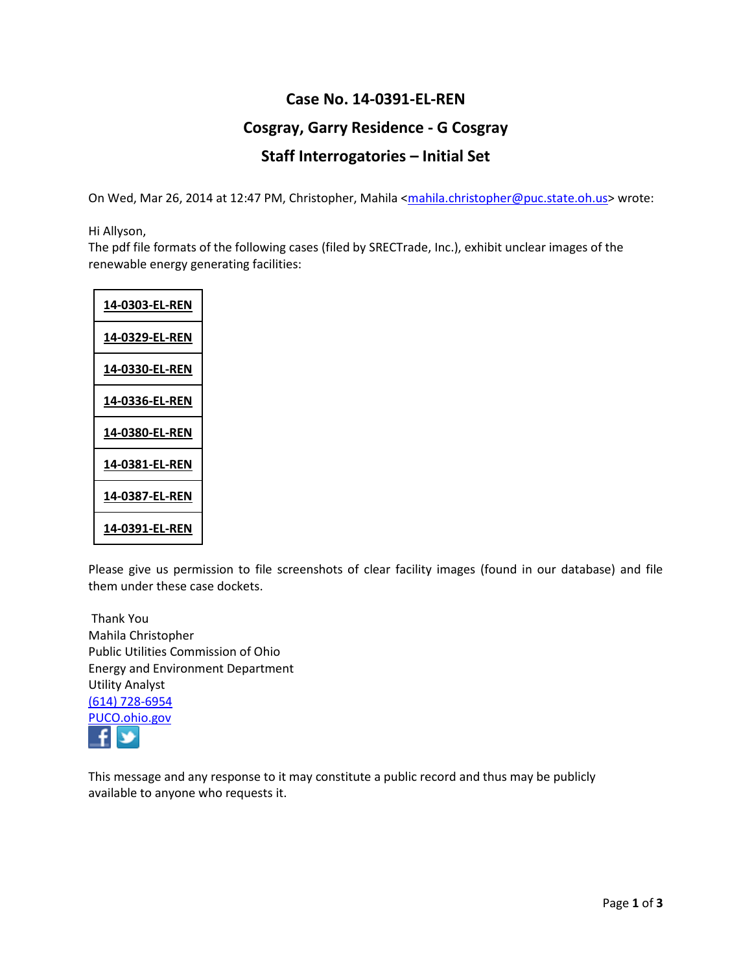## **Case No. 14-0391-EL-REN Cosgray, Garry Residence - G Cosgray Staff Interrogatories – Initial Set**

On Wed, Mar 26, 2014 at 12:47 PM, Christopher, Mahila [<mahila.christopher@puc.state.oh.us>](mailto:mahila.christopher@puc.state.oh.us) wrote:

Hi Allyson,

The pdf file formats of the following cases (filed by SRECTrade, Inc.), exhibit unclear images of the renewable energy generating facilities:

| <u>14-0303-EL-REN</u> |
|-----------------------|
| 14-0329-EL-REN        |
| 14-0330-EL-REN        |
| <u>14-0336-EL-REN</u> |
| <u>14-0380-EL-REN</u> |
| <u>14-0381-EL-REN</u> |
| 14-0387-EL-REN        |
| 14-0391-EL-REN        |

Please give us permission to file screenshots of clear facility images (found in our database) and file them under these case dockets.

Thank You Mahila Christopher Public Utilities Commission of Ohio Energy and Environment Department Utility Analyst [\(614\) 728-6954](tel:%28614%29%20728-6954) [PUCO.ohio.gov](http://www.puco.ohio.gov/)  $\rightarrow$ 

This message and any response to it may constitute a public record and thus may be publicly available to anyone who requests it.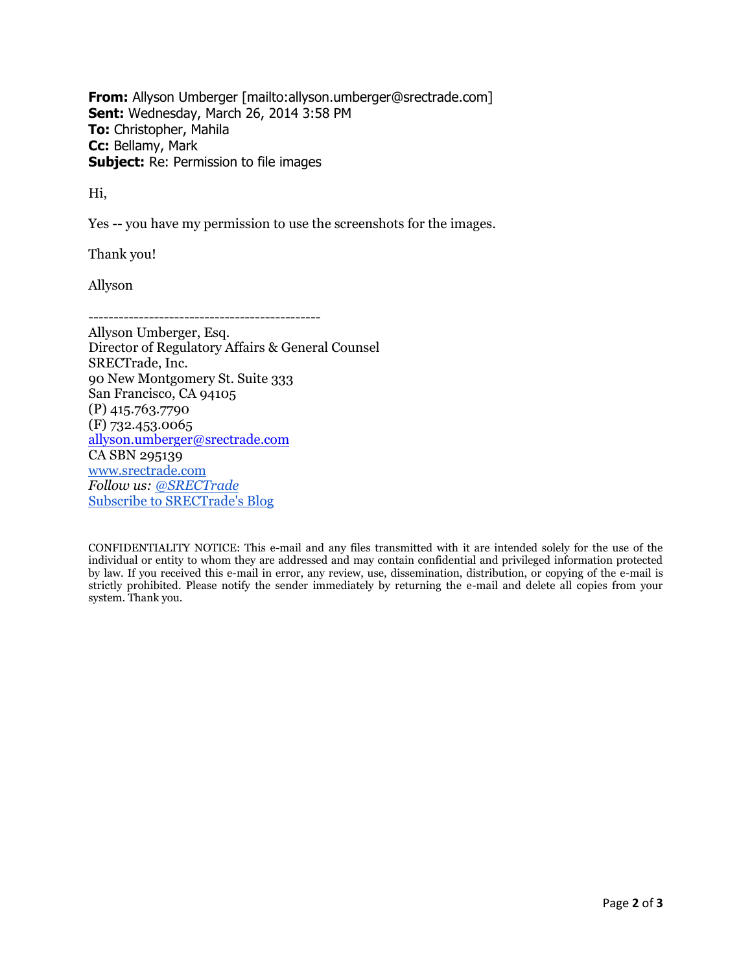**From:** Allyson Umberger [mailto:allyson.umberger@srectrade.com] **Sent:** Wednesday, March 26, 2014 3:58 PM **To:** Christopher, Mahila **Cc:** Bellamy, Mark **Subject:** Re: Permission to file images

Hi,

Yes -- you have my permission to use the screenshots for the images.

Thank you!

Allyson

----------------------------------------------

Allyson Umberger, Esq. Director of Regulatory Affairs & General Counsel SRECTrade, Inc. 90 New Montgomery St. Suite 333 San Francisco, CA 94105 (P) 415.763.7790 (F) 732.453.0065 [allyson.umberger@srectrade.com](mailto:allyson.umberger@srectrade.com) CA SBN 295139 [www.srectrade.com](http://www.srectrade.com/) *Follow us: [@SRECTrade](http://www.twitter.com/srectrade)* [Subscribe to SRECTrade's Blog](http://feedburner.google.com/fb/a/mailverify?uri=srectradeblog&loc=en_US)

CONFIDENTIALITY NOTICE: This e-mail and any files transmitted with it are intended solely for the use of the individual or entity to whom they are addressed and may contain confidential and privileged information protected by law. If you received this e-mail in error, any review, use, dissemination, distribution, or copying of the e-mail is strictly prohibited. Please notify the sender immediately by returning the e-mail and delete all copies from your system. Thank you.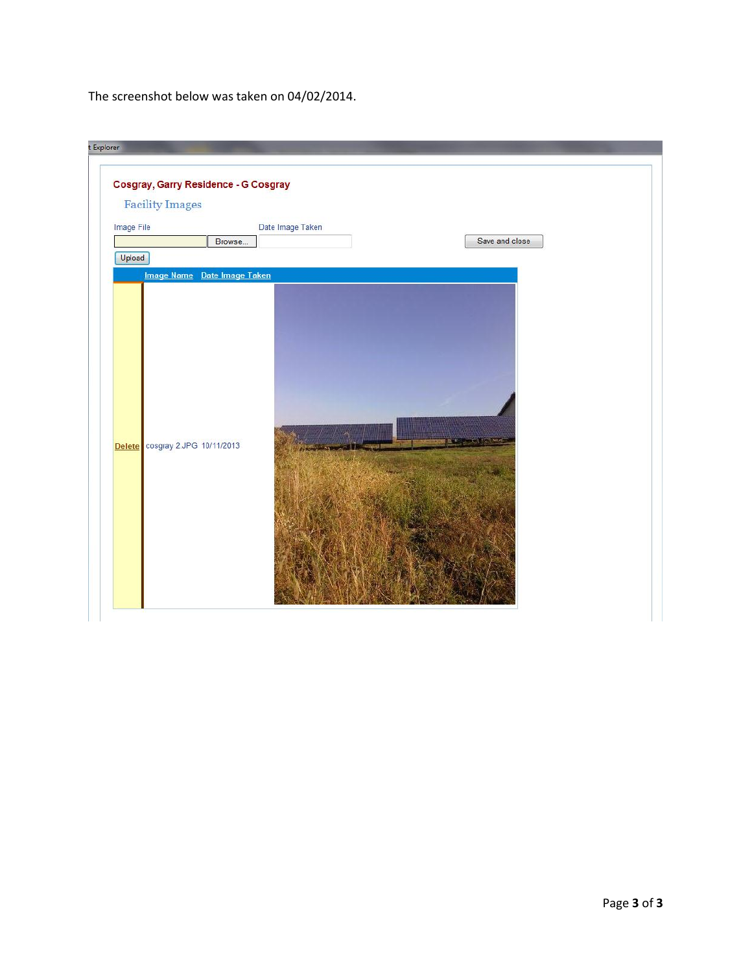The screenshot below was taken on 04/02/2014.

| Image File                      | Browse                      | Date Image Taken | Save and close |  |
|---------------------------------|-----------------------------|------------------|----------------|--|
| Upload                          | Image Name Date Image Taken |                  |                |  |
| Delete cosgray 2.JPG 10/11/2013 |                             |                  |                |  |